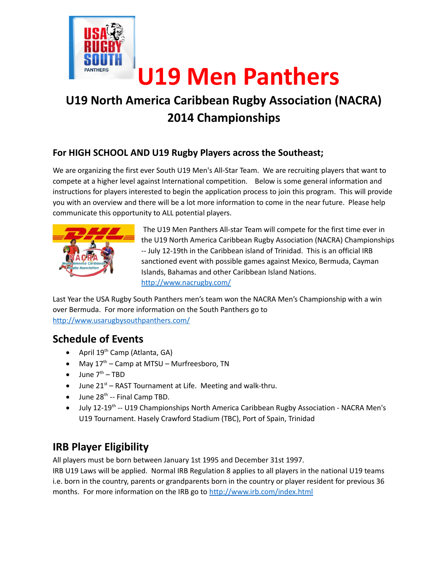

# **U19 North America Caribbean Rugby Association (NACRA) 2014 Championships**

#### **For HIGH SCHOOL AND U19 Rugby Players across the Southeast;**

We are organizing the first ever South U19 Men's All-Star Team. We are recruiting players that want to compete at a higher level against International competition. Below is some general information and instructions for players interested to begin the application process to join this program. This will provide you with an overview and there will be a lot more information to come in the near future. Please help communicate this opportunity to ALL potential players.



 The U19 Men Panthers All-star Team will compete for the first time ever in the U19 North America Caribbean Rugby Association (NACRA) Championships -- July 12-19th in the Caribbean island of Trinidad. This is an official IRB sanctioned event with possible games against Mexico, Bermuda, Cayman Islands, Bahamas and other Caribbean Island Nations. <http://www.nacrugby.com/>

Last Year the USA Rugby South Panthers men's team won the NACRA Men's Championship with a win over Bermuda. For more information on the South Panthers go to <http://www.usarugbysouthpanthers.com/>

## **Schedule of Events**

- April  $19<sup>th</sup>$  Camp (Atlanta, GA)
- May  $17<sup>th</sup>$  Camp at MTSU Murfreesboro, TN
- $\bullet$  June  $7<sup>th</sup>$  TBD
- $\bullet$  June 21st RAST Tournament at Life. Meeting and walk-thru.
- $\bullet$  June 28<sup>th</sup> -- Final Camp TBD.
- $\bullet$  July 12-19<sup>th</sup> -- U19 Championships North America Caribbean Rugby Association NACRA Men's U19 Tournament. Hasely Crawford Stadium (TBC), Port of Spain, Trinidad

# **IRB Player Eligibility**

All players must be born between January 1st 1995 and December 31st 1997.

IRB U19 Laws will be applied. Normal IRB Regulation 8 applies to all players in the national U19 teams i.e. born in the country, parents or grandparents born in the country or player resident for previous 36 months. For more information on the IRB go to <http://www.irb.com/index.html>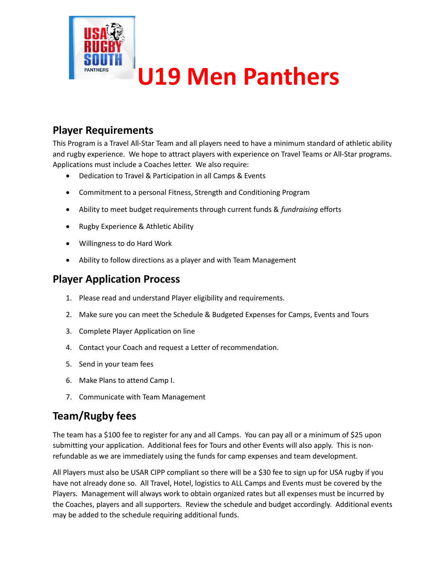

#### **Player Requirements**

This Program is a Travel All-Star Team and all players need to have a minimum standard of athletic ability and rugby experience. We hope to attract players with experience on Travel Teams or All-Star programs. Applications must include a Coaches letter. We also require:

- Dedication to Travel & Participation in all Camps & Events
- Commitment to a personal Fitness, Strength and Conditioning Program
- Ability to meet budget requirements through current funds & *fundraising* efforts
- Rugby Experience & Athletic Ability
- Willingness to do Hard Work
- Ability to follow directions as a player and with Team Management

#### **Player Application Process**

- 1. Please read and understand Player eligibility and requirements.
- 2. Make sure you can meet the Schedule & Budgeted Expenses for Camps, Events and Tours
- 3. Complete Player Application on line
- 4. Contact your Coach and request a Letter of recommendation.
- 5. Send in your team fees
- 6. Make Plans to attend Camp I.
- 7. Communicate with Team Management

## **Team/Rugby fees**

The team has a \$100 fee to register for any and all Camps. You can pay all or a minimum of \$25 upon submitting your application. Additional fees for Tours and other Events will also apply. This is nonrefundable as we are immediately using the funds for camp expenses and team development.

All Players must also be USAR CIPP compliant so there will be a \$30 fee to sign up for USA rugby if you have not already done so. All Travel, Hotel, logistics to ALL Camps and Events must be covered by the Players. Management will always work to obtain organized rates but all expenses must be incurred by the Coaches, players and all supporters. Review the schedule and budget accordingly. Additional events may be added to the schedule requiring additional funds.